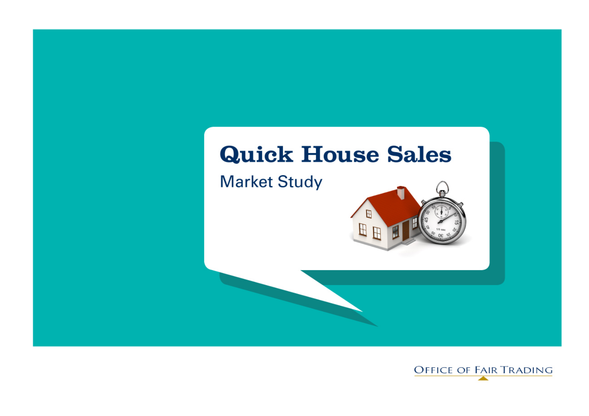# **Quick House Sales**

**Market Study** 



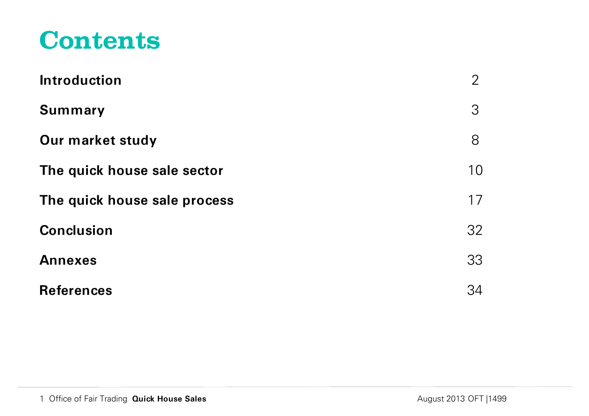# **Contents**

| <b>Introduction</b>          | $\overline{2}$ |
|------------------------------|----------------|
| <b>Summary</b>               | 3              |
| Our market study             | 8              |
| The quick house sale sector  | 10             |
| The quick house sale process | 17             |
| <b>Conclusion</b>            | 32             |
| <b>Annexes</b>               | 33             |
| <b>References</b>            | 34             |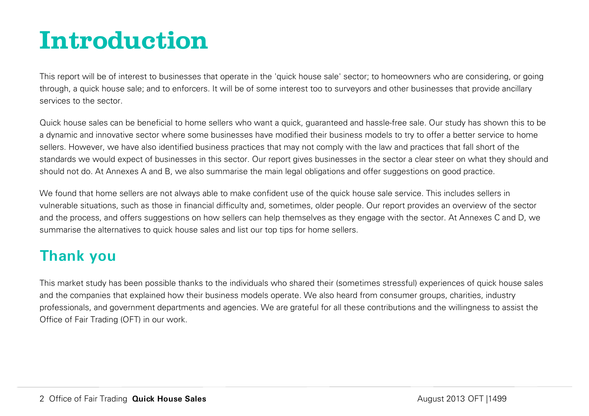# <span id="page-2-0"></span>**Introduction**

This report will be of interest to businesses that operate in the 'quick house sale' sector; to homeowners who are considering, or going through, a quick house sale; and to enforcers. It will be of some interest too to surveyors and other businesses that provide ancillary services to the sector.

Quick house sales can be beneficial to home sellers who want a quick, guaranteed and hassle-free sale. Our study has shown this to be a dynamic and innovative sector where some businesses have modified their business models to try to offer a better service to home sellers. However, we have also identified business practices that may not comply with the law and practices that fall short of the standards we would expect of businesses in this sector. Our report gives businesses in the sector a clear steer on what they should and should not do. At Annexes A and B, we also summarise the main legal obligations and offer suggestions on good practice.

We found that home sellers are not always able to make confident use of the quick house sale service. This includes sellers in vulnerable situations, such as those in financial difficulty and, sometimes, older people. Our report provides an overview of the sector and the process, and offers suggestions on how sellers can help themselves as they engage with the sector. At Annexes C and D, we summarise the alternatives to quick house sales and list our top tips for home sellers.

# **Thank you**

This market study has been possible thanks to the individuals who shared their (sometimes stressful) experiences of quick house sales and the companies that explained how their business models operate. We also heard from consumer groups, charities, industry professionals, and government departments and agencies. We are grateful for all these contributions and the willingness to assist the Office of Fair Trading (OFT) in our work.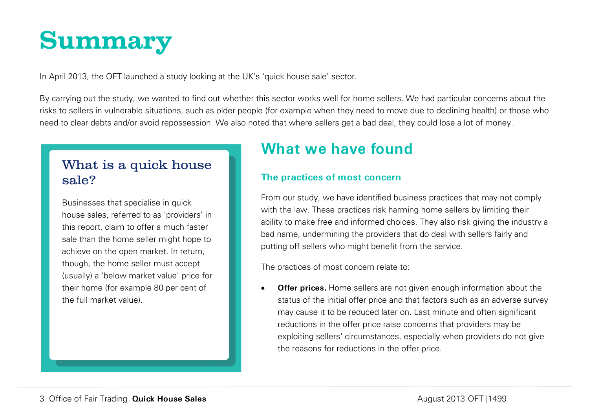# <span id="page-3-0"></span>**Summary**

In April 2013, the OFT launched a study looking at the UK's 'quick house sale' sector.

By carrying out the study, we wanted to find out whether this sector works well for home sellers. We had particular concerns about the risks to sellers in vulnerable situations, such as older people (for example when they need to move due to declining health) or those who need to clear debts and/or avoid repossession. We also noted that where sellers get a bad deal, they could lose a lot of money.

## What is a quick house sale?

Businesses that specialise in quick house sales, referred to as 'providers' in this report, claim to offer a much faster sale than the home seller might hope to achieve on the open market. In return, though, the home seller must accept (usually) a 'below market value' price for their home (for example 80 per cent of the full market value).

# **What we have found**

## **The practices of most concern**

From our study, we have identified business practices that may not comply with the law. These practices risk harming home sellers by limiting their ability to make free and informed choices. They also risk giving the industry a bad name, undermining the providers that do deal with sellers fairly and putting off sellers who might benefit from the service.

The practices of most concern relate to:

• **Offer prices.** Home sellers are not given enough information about the status of the initial offer price and that factors such as an adverse survey may cause it to be reduced later on. Last minute and often significant reductions in the offer price raise concerns that providers may be exploiting sellers' circumstances, especially when providers do not give the reasons for reductions in the offer price.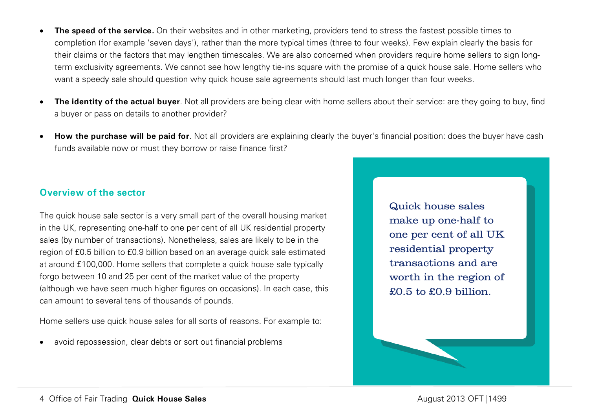- **The speed of the service.** On their websites and in other marketing, providers tend to stress the fastest possible times to completion (for example 'seven days'), rather than the more typical times (three to four weeks). Few explain clearly the basis for their claims or the factors that may lengthen timescales. We are also concerned when providers require home sellers to sign longterm exclusivity agreements. We cannot see how lengthy tie-ins square with the promise of a quick house sale. Home sellers who want a speedy sale should question why quick house sale agreements should last much longer than four weeks.
- **The identity of the actual buyer**. Not all providers are being clear with home sellers about their service: are they going to buy, find a buyer or pass on details to another provider?
- **How the purchase will be paid for**. Not all providers are explaining clearly the buyer's financial position: does the buyer have cash funds available now or must they borrow or raise finance first?

#### **Overview of the sector**

The quick house sale sector is a very small part of the overall housing market in the UK, representing one-half to one per cent of all UK residential property sales (by number of transactions). Nonetheless, sales are likely to be in the region of £0.5 billion to £0.9 billion based on an average quick sale estimated at around £100,000. Home sellers that complete a quick house sale typically forgo between 10 and 25 per cent of the market value of the property (although we have seen much higher figures on occasions). In each case, this can amount to several tens of thousands of pounds.

Home sellers use quick house sales for all sorts of reasons. For example to:

avoid repossession, clear debts or sort out financial problems

Quick house sales make up one-half to one per cent of all UK residential property transactions and are worth in the region of £0.5 to £0.9 billion.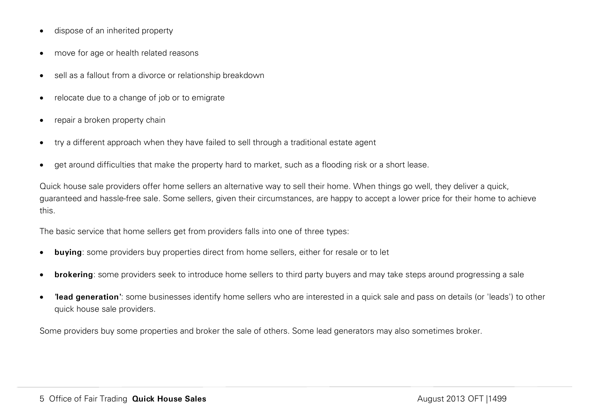- dispose of an inherited property
- move for age or health related reasons
- sell as a fallout from a divorce or relationship breakdown
- relocate due to a change of job or to emigrate
- repair a broken property chain
- try a different approach when they have failed to sell through a traditional estate agent
- get around difficulties that make the property hard to market, such as a flooding risk or a short lease.

Quick house sale providers offer home sellers an alternative way to sell their home. When things go well, they deliver a quick, guaranteed and hassle-free sale. Some sellers, given their circumstances, are happy to accept a lower price for their home to achieve this.

The basic service that home sellers get from providers falls into one of three types:

- **buying**: some providers buy properties direct from home sellers, either for resale or to let
- **brokering**: some providers seek to introduce home sellers to third party buyers and may take steps around progressing a sale
- **'lead generation'**: some businesses identify home sellers who are interested in a quick sale and pass on details (or 'leads') to other quick house sale providers.

Some providers buy some properties and broker the sale of others. Some lead generators may also sometimes broker.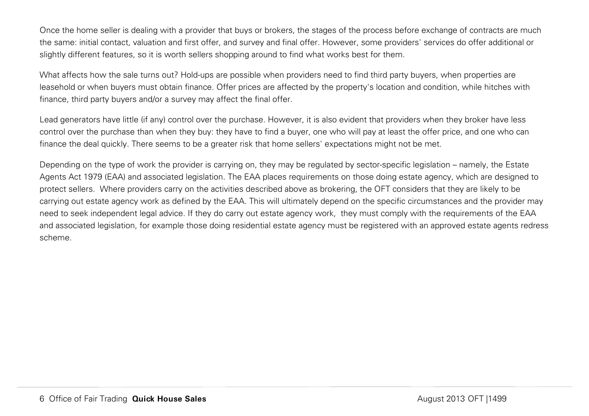Once the home seller is dealing with a provider that buys or brokers, the stages of the process before exchange of contracts are much the same: initial contact, valuation and first offer, and survey and final offer. However, some providers' services do offer additional or slightly different features, so it is worth sellers shopping around to find what works best for them.

What affects how the sale turns out? Hold-ups are possible when providers need to find third party buyers, when properties are leasehold or when buyers must obtain finance. Offer prices are affected by the property's location and condition, while hitches with finance, third party buyers and/or a survey may affect the final offer.

Lead generators have little (if any) control over the purchase. However, it is also evident that providers when they broker have less control over the purchase than when they buy: they have to find a buyer, one who will pay at least the offer price, and one who can finance the deal quickly. There seems to be a greater risk that home sellers' expectations might not be met.

Depending on the type of work the provider is carrying on, they may be regulated by sector-specific legislation – namely, the Estate Agents Act 1979 (EAA) and associated legislation. The EAA places requirements on those doing estate agency, which are designed to protect sellers. Where providers carry on the activities described above as brokering, the OFT considers that they are likely to be carrying out estate agency work as defined by the EAA. This will ultimately depend on the specific circumstances and the provider may need to seek independent legal advice. If they do carry out estate agency work, they must comply with the requirements of the EAA and associated legislation, for example those doing residential estate agency must be registered with an approved estate agents redress scheme.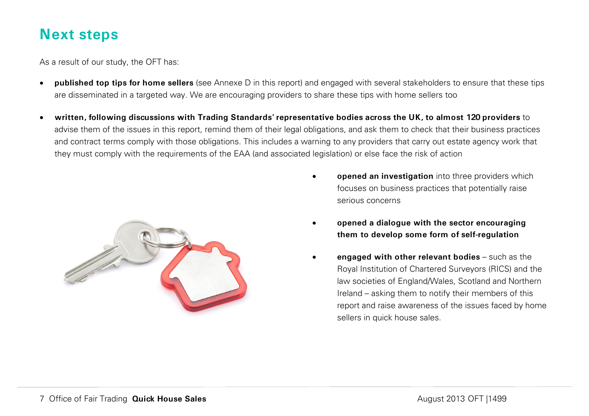## **Next steps**

As a result of our study, the OFT has:

- **published top tips for home sellers** (see Annexe D in this report) and engaged with several stakeholders to ensure that these tips are disseminated in a targeted way. We are encouraging providers to share these tips with home sellers too
- **written, following discussions with Trading Standards' representative bodies across the UK, to almost 120 providers** to advise them of the issues in this report, remind them of their legal obligations, and ask them to check that their business practices and contract terms comply with those obligations. This includes a warning to any providers that carry out estate agency work that they must comply with the requirements of the EAA (and associated legislation) or else face the risk of action



- **opened an investigation** into three providers which focuses on business practices that potentially raise serious concerns
- **opened a dialogue with the sector encouraging them to develop some form of self-regulation**
- **engaged with other relevant bodies** such as the Royal Institution of Chartered Surveyors (RICS) and the law societies of England/Wales, Scotland and Northern Ireland – asking them to notify their members of this report and raise awareness of the issues faced by home sellers in quick house sales.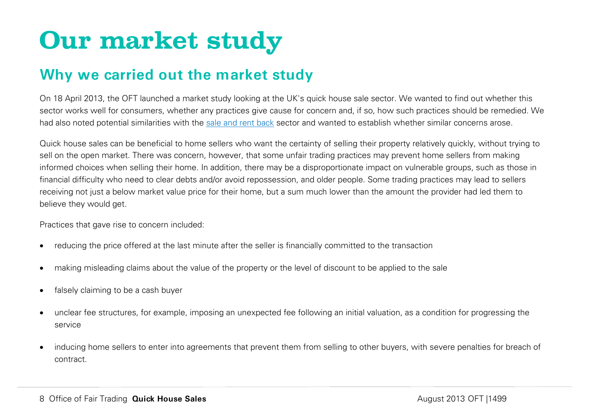# <span id="page-8-0"></span>**Our market study**

## **Why we carried out the market study**

On 18 April 2013, the OFT launched a market study looking at the UK's quick house sale sector. We wanted to find out whether this sector works well for consumers, whether any practices give cause for concern and, if so, how such practices should be remedied. We had also noted potential similarities with the [sale and rent back](http://www.oft.gov.uk/shared_oft/reports/consumer_protection/oft1018.pdf) sector and wanted to establish whether similar concerns arose.

Quick house sales can be beneficial to home sellers who want the certainty of selling their property relatively quickly, without trying to sell on the open market. There was concern, however, that some unfair trading practices may prevent home sellers from making informed choices when selling their home. In addition, there may be a disproportionate impact on vulnerable groups, such as those in financial difficulty who need to clear debts and/or avoid repossession, and older people. Some trading practices may lead to sellers receiving not just a below market value price for their home, but a sum much lower than the amount the provider had led them to believe they would get.

Practices that gave rise to concern included:

- reducing the price offered at the last minute after the seller is financially committed to the transaction
- making misleading claims about the value of the property or the level of discount to be applied to the sale
- falsely claiming to be a cash buyer
- unclear fee structures, for example, imposing an unexpected fee following an initial valuation, as a condition for progressing the service
- inducing home sellers to enter into agreements that prevent them from selling to other buyers, with severe penalties for breach of contract.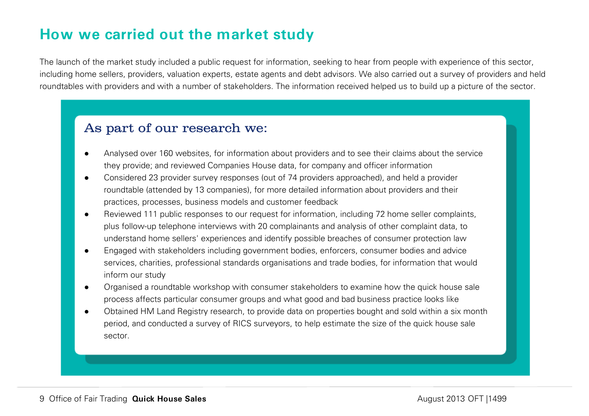# **How we carried out the market study**

The launch of the market study included a public request for information, seeking to hear from people with experience of this sector, including home sellers, providers, valuation experts, estate agents and debt advisors. We also carried out a survey of providers and held roundtables with providers and with a number of stakeholders. The information received helped us to build up a picture of the sector.

## As part of our research we:

- Analysed over 160 websites, for information about providers and to see their claims about the service they provide; and reviewed Companies House data, for company and officer information
- Considered 23 provider survey responses (out of 74 providers approached), and held a provider roundtable (attended by 13 companies), for more detailed information about providers and their practices, processes, business models and customer feedback
- Reviewed 111 public responses to our request for information, including 72 home seller complaints, plus follow-up telephone interviews with 20 complainants and analysis of other complaint data, to understand home sellers' experiences and identify possible breaches of consumer protection law
- Engaged with stakeholders including government bodies, enforcers, consumer bodies and advice services, charities, professional standards organisations and trade bodies, for information that would inform our study
- Organised a roundtable workshop with consumer stakeholders to examine how the quick house sale process affects particular consumer groups and what good and bad business practice looks like
- Obtained HM Land Registry research, to provide data on properties bought and sold within a six month period, and conducted a survey of RICS surveyors, to help estimate the size of the quick house sale sector.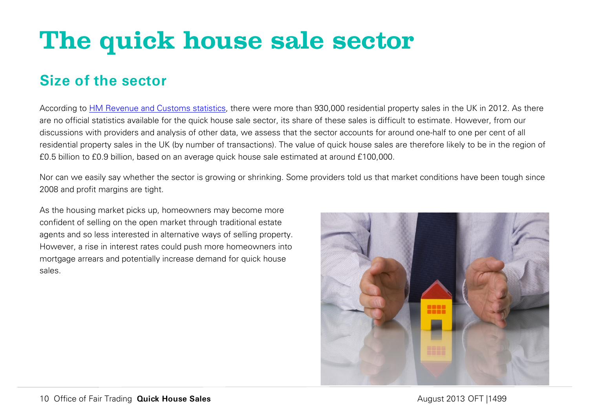# <span id="page-10-0"></span>**The quick house sale sector**

## **Size of the sector**

According to [HM Revenue and Customs statistics,](http://www.hmrc.gov.uk/statistics/transactions.htm) there were more than 930,000 residential property sales in the UK in 2012. As there are no official statistics available for the quick house sale sector, its share of these sales is difficult to estimate. However, from our discussions with providers and analysis of other data, we assess that the sector accounts for around one-half to one per cent of all residential property sales in the UK (by number of transactions). The value of quick house sales are therefore likely to be in the region of £0.5 billion to £0.9 billion, based on an average quick house sale estimated at around £100,000.

Nor can we easily say whether the sector is growing or shrinking. Some providers told us that market conditions have been tough since 2008 and profit margins are tight.

As the housing market picks up, homeowners may become more confident of selling on the open market through traditional estate agents and so less interested in alternative ways of selling property. However, a rise in interest rates could push more homeowners into mortgage arrears and potentially increase demand for quick house sales.

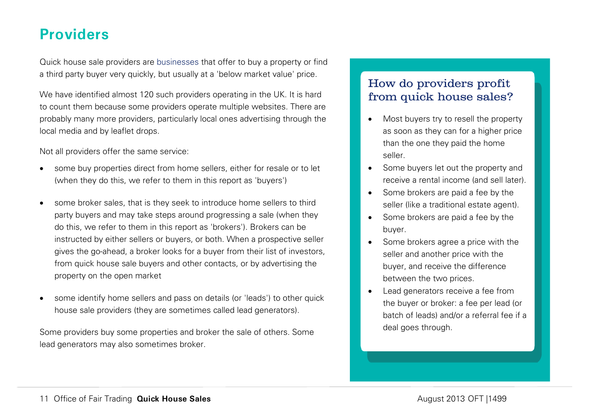## **Providers**

Quick house sale providers are businesses that offer to buy a property or find a third party buyer very quickly, but usually at a 'below market value' price.

We have identified almost 120 such providers operating in the UK. It is hard to count them because some providers operate multiple websites. There are probably many more providers, particularly local ones advertising through the local media and by leaflet drops.

Not all providers offer the same service:

- some buy properties direct from home sellers, either for resale or to let (when they do this, we refer to them in this report as 'buyers')
- some broker sales, that is they seek to introduce home sellers to third party buyers and may take steps around progressing a sale (when they do this, we refer to them in this report as 'brokers'). Brokers can be instructed by either sellers or buyers, or both. When a prospective seller gives the go-ahead, a broker looks for a buyer from their list of investors, from quick house sale buyers and other contacts, or by advertising the property on the open market
- some identify home sellers and pass on details (or 'leads') to other quick house sale providers (they are sometimes called lead generators).

Some providers buy some properties and broker the sale of others. Some lead generators may also sometimes broker.

## How do providers profit from quick house sales?

- Most buyers try to resell the property as soon as they can for a higher price than the one they paid the home seller.
- Some buyers let out the property and receive a rental income (and sell later).
- Some brokers are paid a fee by the seller (like a traditional estate agent).
- Some brokers are paid a fee by the buyer.
- Some brokers agree a price with the seller and another price with the buyer, and receive the difference between the two prices.
- Lead generators receive a fee from the buyer or broker: a fee per lead (or batch of leads) and/or a referral fee if a deal goes through.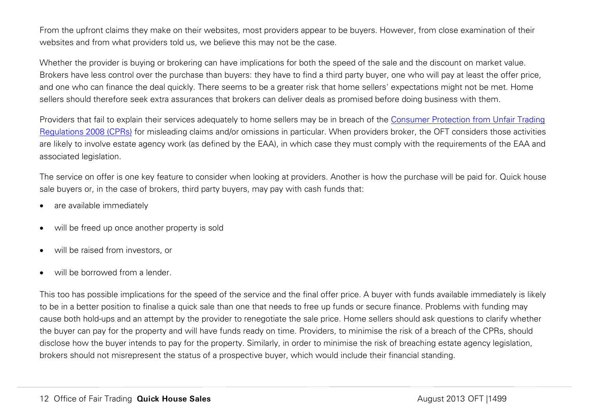From the upfront claims they make on their websites, most providers appear to be buyers. However, from close examination of their websites and from what providers told us, we believe this may not be the case.

Whether the provider is buying or brokering can have implications for both the speed of the sale and the discount on market value. Brokers have less control over the purchase than buyers: they have to find a third party buyer, one who will pay at least the offer price, and one who can finance the deal quickly. There seems to be a greater risk that home sellers' expectations might not be met. Home sellers should therefore seek extra assurances that brokers can deliver deals as promised before doing business with them.

Providers that fail to explain their services adequately to home sellers may be in breach of the [Consumer Protection from Unfair Trading](http://www.legislation.gov.uk/uksi/2008/1277/contents/made)  [Regulations 2008 \(CPRs\)](http://www.legislation.gov.uk/uksi/2008/1277/contents/made) for misleading claims and/or omissions in particular. When providers broker, the OFT considers those activities are likely to involve estate agency work (as defined by the EAA), in which case they must comply with the requirements of the EAA and associated legislation.

The service on offer is one key feature to consider when looking at providers. Another is how the purchase will be paid for. Quick house sale buyers or, in the case of brokers, third party buyers, may pay with cash funds that:

- are available immediately
- will be freed up once another property is sold
- will be raised from investors, or
- will be borrowed from a lender.

This too has possible implications for the speed of the service and the final offer price. A buyer with funds available immediately is likely to be in a better position to finalise a quick sale than one that needs to free up funds or secure finance. Problems with funding may cause both hold-ups and an attempt by the provider to renegotiate the sale price. Home sellers should ask questions to clarify whether the buyer can pay for the property and will have funds ready on time. Providers, to minimise the risk of a breach of the CPRs, should disclose how the buyer intends to pay for the property. Similarly, in order to minimise the risk of breaching estate agency legislation, brokers should not misrepresent the status of a prospective buyer, which would include their financial standing.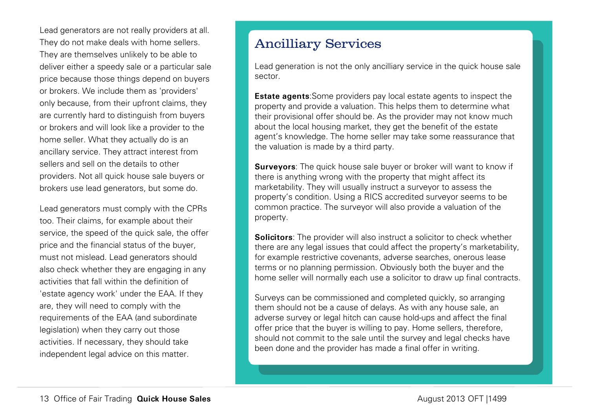Lead generators are not really providers at all. They do not make deals with home sellers. They are themselves unlikely to be able to deliver either a speedy sale or a particular sale price because those things depend on buyers or brokers. We include them as 'providers' only because, from their upfront claims, they are currently hard to distinguish from buyers or brokers and will look like a provider to the home seller. What they actually do is an ancillary service. They attract interest from sellers and sell on the details to other providers. Not all quick house sale buyers or brokers use lead generators, but some do.

Lead generators must comply with the CPRs too. Their claims, for example about their service, the speed of the quick sale, the offer price and the financial status of the buyer, must not mislead. Lead generators should also check whether they are engaging in any activities that fall within the definition of 'estate agency work' under the EAA. If they are, they will need to comply with the requirements of the EAA (and subordinate legislation) when they carry out those activities. If necessary, they should take independent legal advice on this matter.

## Ancilliary Services

Lead generation is not the only ancilliary service in the quick house sale sector.

**Estate agents**:Some providers pay local estate agents to inspect the property and provide a valuation. This helps them to determine what their provisional offer should be. As the provider may not know much about the local housing market, they get the benefit of the estate agent's knowledge. The home seller may take some reassurance that the valuation is made by a third party.

**Surveyors**: The quick house sale buyer or broker will want to know if there is anything wrong with the property that might affect its marketability. They will usually instruct a surveyor to assess the property's condition. Using a RICS accredited surveyor seems to be common practice. The surveyor will also provide a valuation of the property.

**Solicitors**: The provider will also instruct a solicitor to check whether there are any legal issues that could affect the property's marketability, for example restrictive covenants, adverse searches, onerous lease terms or no planning permission. Obviously both the buyer and the home seller will normally each use a solicitor to draw up final contracts.

Surveys can be commissioned and completed quickly, so arranging them should not be a cause of delays. As with any house sale, an adverse survey or legal hitch can cause hold-ups and affect the final offer price that the buyer is willing to pay. Home sellers, therefore, should not commit to the sale until the survey and legal checks have been done and the provider has made a final offer in writing.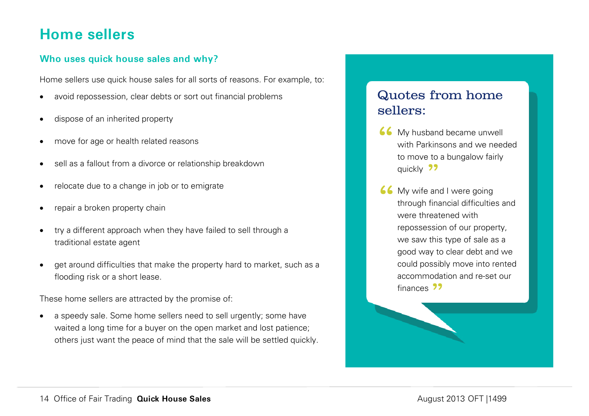## **Home sellers**

## **Who uses quick house sales and why?**

Home sellers use quick house sales for all sorts of reasons. For example, to:

- avoid repossession, clear debts or sort out financial problems
- dispose of an inherited property
- move for age or health related reasons
- sell as a fallout from a divorce or relationship breakdown
- relocate due to a change in job or to emigrate
- repair a broken property chain
- try a different approach when they have failed to sell through a traditional estate agent
- get around difficulties that make the property hard to market, such as a flooding risk or a short lease.

These home sellers are attracted by the promise of:

a speedy sale. Some home sellers need to sell urgently; some have waited a long time for a buyer on the open market and lost patience; others just want the peace of mind that the sale will be settled quickly.

## Quotes from home sellers:

- **66** My husband became unwell<br>with Parkinsons and we need<br>to move to a bungalow fairly with Parkinsons and we needed to move to a bungalow fairly quickly 22
- **66** My wife and I were going<br>through financial difficultie<br>were threatened with through financial difficulties and were threatened with repossession of our property, we saw this type of sale as a good way to clear debt and we could possibly move into rented accommodation and re-set our finances 22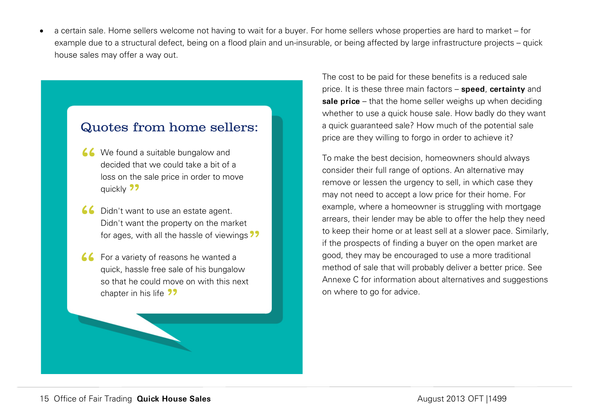• a certain sale. Home sellers welcome not having to wait for a buyer. For home sellers whose properties are hard to market – for example due to a structural defect, being on a flood plain and un-insurable, or being affected by large infrastructure projects – quick house sales may offer a way out.

## Quotes from home sellers:

- K We found a suitable bungalow and<br>decided that we could take a bit of<br>loss on the sale price in order to mo decided that we could take a bit of a loss on the sale price in order to move quickly 22
- **66** Didn't want to use an estate agent.<br>Didn't want the property on the ma Didn't want the property on the market for ages, with all the hassle of viewings 22
- **66** For a variety of reasons he wanted a<br>quick, hassle free sale of his bungalor<br>so that he could move on with this ne quick, hassle free sale of his bungalow so that he could move on with this next chapter in his life 22

The cost to be paid for these benefits is a reduced sale price. It is these three main factors – **speed**, **certainty** and **sale price** – that the home seller weighs up when deciding whether to use a quick house sale. How badly do they want a quick guaranteed sale? How much of the potential sale price are they willing to forgo in order to achieve it?

To make the best decision, homeowners should always consider their full range of options. An alternative may remove or lessen the urgency to sell, in which case they may not need to accept a low price for their home. For example, where a homeowner is struggling with mortgage arrears, their lender may be able to offer the help they need to keep their home or at least sell at a slower pace. Similarly, if the prospects of finding a buyer on the open market are good, they may be encouraged to use a more traditional method of sale that will probably deliver a better price. See Annexe C for information about alternatives and suggestions on where to go for advice.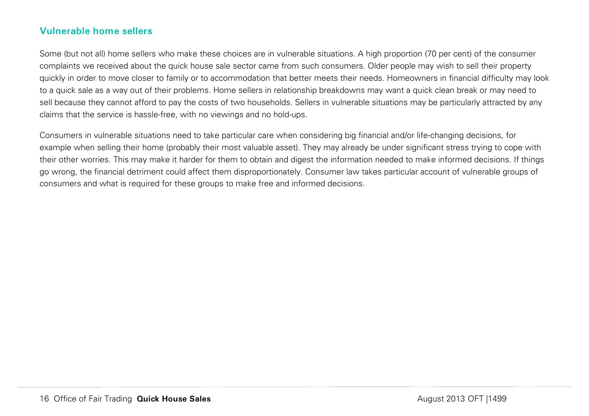## **Vulnerable home sellers**

Some (but not all) home sellers who make these choices are in vulnerable situations. A high proportion (70 per cent) of the consumer complaints we received about the quick house sale sector came from such consumers. Older people may wish to sell their property quickly in order to move closer to family or to accommodation that better meets their needs. Homeowners in financial difficulty may look to a quick sale as a way out of their problems. Home sellers in relationship breakdowns may want a quick clean break or may need to sell because they cannot afford to pay the costs of two households. Sellers in vulnerable situations may be particularly attracted by any claims that the service is hassle-free, with no viewings and no hold-ups.

Consumers in vulnerable situations need to take particular care when considering big financial and/or life-changing decisions, for example when selling their home (probably their most valuable asset). They may already be under significant stress trying to cope with their other worries. This may make it harder for them to obtain and digest the information needed to make informed decisions. If things go wrong, the financial detriment could affect them disproportionately. Consumer law takes particular account of vulnerable groups of consumers and what is required for these groups to make free and informed decisions.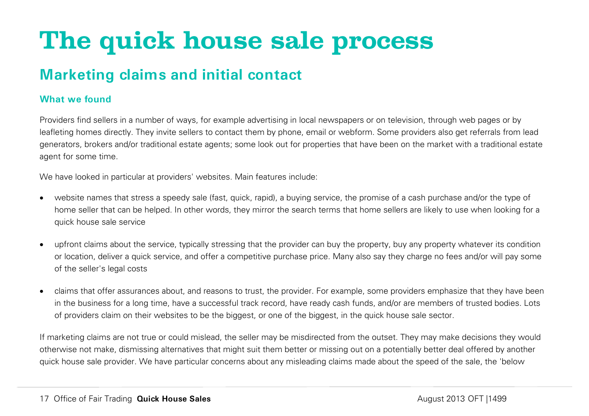# <span id="page-17-0"></span>**The quick house sale process**

## **Marketing claims and initial contact**

## **What we found**

Providers find sellers in a number of ways, for example advertising in local newspapers or on television, through web pages or by leafleting homes directly. They invite sellers to contact them by phone, email or webform. Some providers also get referrals from lead generators, brokers and/or traditional estate agents; some look out for properties that have been on the market with a traditional estate agent for some time.

We have looked in particular at providers' websites. Main features include:

- website names that stress a speedy sale (fast, quick, rapid), a buying service, the promise of a cash purchase and/or the type of home seller that can be helped. In other words, they mirror the search terms that home sellers are likely to use when looking for a quick house sale service
- upfront claims about the service, typically stressing that the provider can buy the property, buy any property whatever its condition or location, deliver a quick service, and offer a competitive purchase price. Many also say they charge no fees and/or will pay some of the seller's legal costs
- claims that offer assurances about, and reasons to trust, the provider. For example, some providers emphasize that they have been in the business for a long time, have a successful track record, have ready cash funds, and/or are members of trusted bodies. Lots of providers claim on their websites to be the biggest, or one of the biggest, in the quick house sale sector.

If marketing claims are not true or could mislead, the seller may be misdirected from the outset. They may make decisions they would otherwise not make, dismissing alternatives that might suit them better or missing out on a potentially better deal offered by another quick house sale provider. We have particular concerns about any misleading claims made about the speed of the sale, the 'below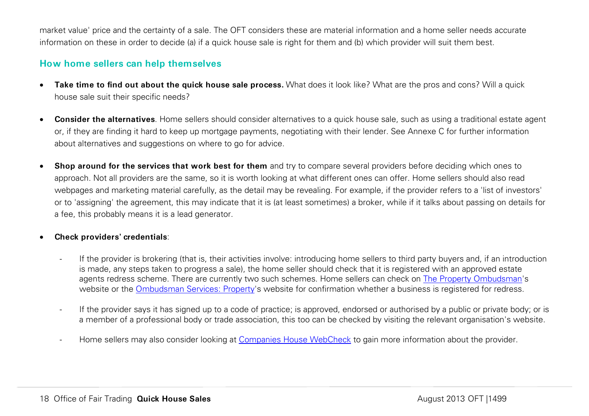market value' price and the certainty of a sale. The OFT considers these are material information and a home seller needs accurate information on these in order to decide (a) if a quick house sale is right for them and (b) which provider will suit them best.

## **How home sellers can help themselves**

- **Take time to find out about the quick house sale process.** What does it look like? What are the pros and cons? Will a quick house sale suit their specific needs?
- **Consider the alternatives**. Home sellers should consider alternatives to a quick house sale, such as using a traditional estate agent or, if they are finding it hard to keep up mortgage payments, negotiating with their lender. See Annexe C for further information about alternatives and suggestions on where to go for advice.
- **Shop around for the services that work best for them** and try to compare several providers before deciding which ones to approach. Not all providers are the same, so it is worth looking at what different ones can offer. Home sellers should also read webpages and marketing material carefully, as the detail may be revealing. For example, if the provider refers to a 'list of investors' or to 'assigning' the agreement, this may indicate that it is (at least sometimes) a broker, while if it talks about passing on details for a fee, this probably means it is a lead generator.

#### • **Check providers' credentials**:

- If the provider is brokering (that is, their activities involve: introducing home sellers to third party buyers and, if an introduction is made, any steps taken to progress a sale), the home seller should check that it is registered with an approved estate agents redress scheme. There are currently two such schemes. Home sellers can check on [The Property Ombudsman'](http://www.tpos.co.uk/find-member.php)s website or the [Ombudsman Services: Property'](http://www.ombudsman-services.org/property.html)s website for confirmation whether a business is registered for redress.
- If the provider says it has signed up to a code of practice; is approved, endorsed or authorised by a public or private body; or is a member of a professional body or trade association, this too can be checked by visiting the relevant organisation's website.
- Home sellers may also consider looking at [Companies House WebCheck](http://wck2.companieshouse.gov.uk/) to gain more information about the provider.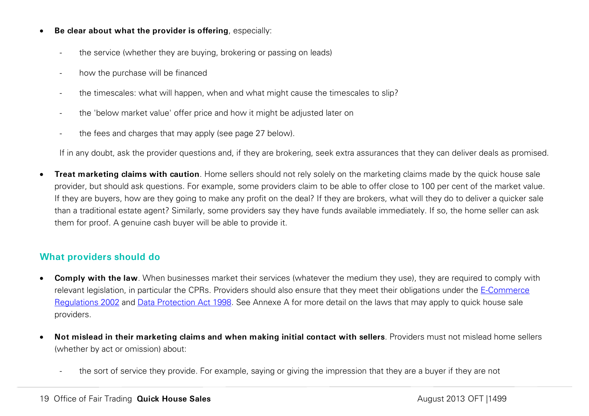- **Be clear about what the provider is offering**, especially:
	- the service (whether they are buying, brokering or passing on leads)
	- how the purchase will be financed
	- the timescales: what will happen, when and what might cause the timescales to slip?
	- the 'below market value' offer price and how it might be adjusted later on
	- the fees and charges that may apply (see page [27](#page-27-0) below).

If in any doubt, ask the provider questions and, if they are brokering, seek extra assurances that they can deliver deals as promised.

• **Treat marketing claims with caution**. Home sellers should not rely solely on the marketing claims made by the quick house sale provider, but should ask questions. For example, some providers claim to be able to offer close to 100 per cent of the market value. If they are buyers, how are they going to make any profit on the deal? If they are brokers, what will they do to deliver a quicker sale than a traditional estate agent? Similarly, some providers say they have funds available immediately. If so, the home seller can ask them for proof. A genuine cash buyer will be able to provide it.

## **What providers should do**

- **Comply with the law**. When businesses market their services (whatever the medium they use), they are required to comply with relevant legislation, in particular the CPRs. Providers should also ensure that they meet their obligations under the [E-Commerce](http://www.legislation.gov.uk/uksi/2002/2013/made)  [Regulations 2002](http://www.legislation.gov.uk/uksi/2002/2013/made) and [Data Protection Act 1998.](http://www.legislation.gov.uk/ukpga/1998/29/contents) See Annexe A for more detail on the laws that may apply to quick house sale providers.
- **Not mislead in their marketing claims and when making initial contact with sellers**. Providers must not mislead home sellers (whether by act or omission) about:
	- the sort of service they provide. For example, saying or giving the impression that they are a buyer if they are not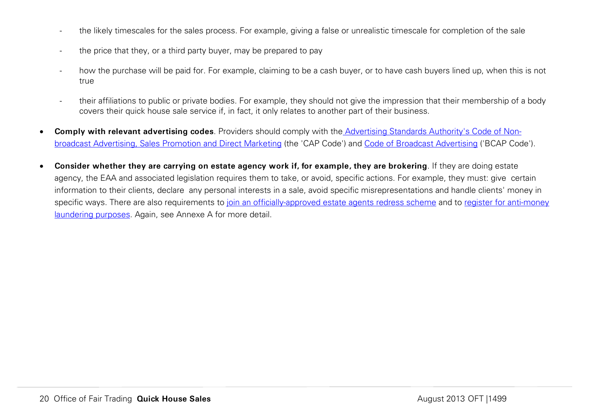- the likely timescales for the sales process. For example, giving a false or unrealistic timescale for completion of the sale
- the price that they, or a third party buyer, may be prepared to pay
- how the purchase will be paid for. For example, claiming to be a cash buyer, or to have cash buyers lined up, when this is not true
- their affiliations to public or private bodies. For example, they should not give the impression that their membership of a body covers their quick house sale service if, in fact, it only relates to another part of their business.
- **Comply with relevant advertising codes**. Providers should comply with the [Advertising Standards Authority's Code of Non](http://www.cap.org.uk/Advertising-Codes/Non-broadcast-HTML.aspx)[broadcast Advertising, Sales Promotion and Direct Marketing](http://www.cap.org.uk/Advertising-Codes/Non-broadcast-HTML.aspx) (the 'CAP Code') and [Code of Broadcast Advertising](http://www.cap.org.uk/Advertising-Codes/Broadcast-HTML.aspx) ('BCAP Code').
- **Consider whether they are carrying on estate agency work if, for example, they are brokering**. If they are doing estate agency, the EAA and associated legislation requires them to take, or avoid, specific actions. For example, they must: give certain information to their clients, declare any personal interests in a sale, avoid specific misrepresentations and handle clients' money in specific ways. There are also requirements to [join an officially-approved estate agents redress scheme](http://www.oft.gov.uk/OFTwork/estate-agents/EARS/) and to register for anti-money [laundering purposes.](http://www.oft.gov.uk/OFTwork/aml/guidance) Again, see Annexe A for more detail.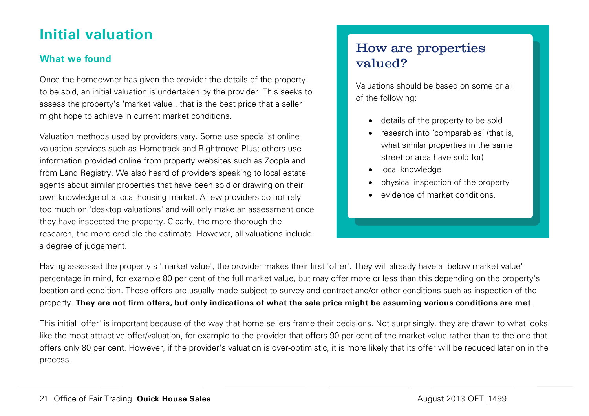# **Initial valuation**

## **What we found**

Once the homeowner has given the provider the details of the property to be sold, an initial valuation is undertaken by the provider. This seeks to assess the property's 'market value', that is the best price that a seller might hope to achieve in current market conditions.

Valuation methods used by providers vary. Some use specialist online valuation services such as Hometrack and Rightmove Plus; others use information provided online from property websites such as Zoopla and from Land Registry. We also heard of providers speaking to local estate agents about similar properties that have been sold or drawing on their own knowledge of a local housing market. A few providers do not rely too much on 'desktop valuations' and will only make an assessment once they have inspected the property. Clearly, the more thorough the research, the more credible the estimate. However, all valuations include a degree of judgement.

## How are properties valued?

Valuations should be based on some or all of the following:

- details of the property to be sold
- research into 'comparables' (that is, what similar properties in the same street or area have sold for)
- local knowledge
- physical inspection of the property
- evidence of market conditions.

Having assessed the property's 'market value', the provider makes their first 'offer'. They will already have a 'below market value' percentage in mind, for example 80 per cent of the full market value, but may offer more or less than this depending on the property's location and condition. These offers are usually made subject to survey and contract and/or other conditions such as inspection of the property. **They are not firm offers, but only indications of what the sale price might be assuming various conditions are met**.

This initial 'offer' is important because of the way that home sellers frame their decisions. Not surprisingly, they are drawn to what looks like the most attractive offer/valuation, for example to the provider that offers 90 per cent of the market value rather than to the one that offers only 80 per cent. However, if the provider's valuation is over-optimistic, it is more likely that its offer will be reduced later on in the process.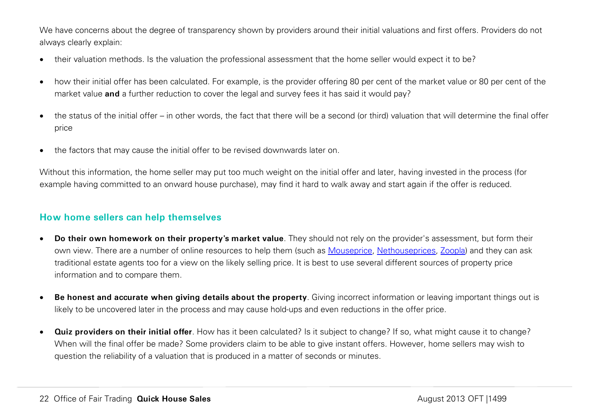We have concerns about the degree of transparency shown by providers around their initial valuations and first offers. Providers do not always clearly explain:

- their valuation methods. Is the valuation the professional assessment that the home seller would expect it to be?
- how their initial offer has been calculated. For example, is the provider offering 80 per cent of the market value or 80 per cent of the market value **and** a further reduction to cover the legal and survey fees it has said it would pay?
- the status of the initial offer in other words, the fact that there will be a second (or third) valuation that will determine the final offer price
- the factors that may cause the initial offer to be revised downwards later on.

Without this information, the home seller may put too much weight on the initial offer and later, having invested in the process (for example having committed to an onward house purchase), may find it hard to walk away and start again if the offer is reduced.

## **How home sellers can help themselves**

- **Do their own homework on their property's market value**. They should not rely on the provider's assessment, but form their own view. There are a number of online resources to help them (such as [Mouseprice,](http://www.mouseprice.com/) [Nethouseprices,](http://www.nethouseprices.com/) [Zoopla\)](http://www.zoopla.co.uk/house-prices) and they can ask traditional estate agents too for a view on the likely selling price. It is best to use several different sources of property price information and to compare them.
- **Be honest and accurate when giving details about the property**. Giving incorrect information or leaving important things out is likely to be uncovered later in the process and may cause hold-ups and even reductions in the offer price.
- **Quiz providers on their initial offer**. How has it been calculated? Is it subject to change? If so, what might cause it to change? When will the final offer be made? Some providers claim to be able to give instant offers. However, home sellers may wish to question the reliability of a valuation that is produced in a matter of seconds or minutes.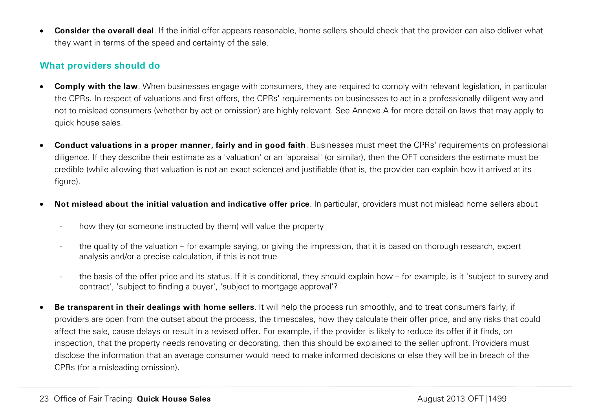• **Consider the overall deal**. If the initial offer appears reasonable, home sellers should check that the provider can also deliver what they want in terms of the speed and certainty of the sale.

## **What providers should do**

- **Comply with the law**. When businesses engage with consumers, they are required to comply with relevant legislation, in particular the CPRs. In respect of valuations and first offers, the CPRs' requirements on businesses to act in a professionally diligent way and not to mislead consumers (whether by act or omission) are highly relevant. See Annexe A for more detail on laws that may apply to quick house sales.
- **Conduct valuations in a proper manner, fairly and in good faith**. Businesses must meet the CPRs' requirements on professional diligence. If they describe their estimate as a 'valuation' or an 'appraisal' (or similar), then the OFT considers the estimate must be credible (while allowing that valuation is not an exact science) and justifiable (that is, the provider can explain how it arrived at its figure).
- **Not mislead about the initial valuation and indicative offer price**. In particular, providers must not mislead home sellers about
	- how they (or someone instructed by them) will value the property
	- the quality of the valuation for example saying, or giving the impression, that it is based on thorough research, expert analysis and/or a precise calculation, if this is not true
	- the basis of the offer price and its status. If it is conditional, they should explain how for example, is it 'subject to survey and contract', 'subject to finding a buyer', 'subject to mortgage approval'?
- **Be transparent in their dealings with home sellers**. It will help the process run smoothly, and to treat consumers fairly, if providers are open from the outset about the process, the timescales, how they calculate their offer price, and any risks that could affect the sale, cause delays or result in a revised offer. For example, if the provider is likely to reduce its offer if it finds, on inspection, that the property needs renovating or decorating, then this should be explained to the seller upfront. Providers must disclose the information that an average consumer would need to make informed decisions or else they will be in breach of the CPRs (for a misleading omission).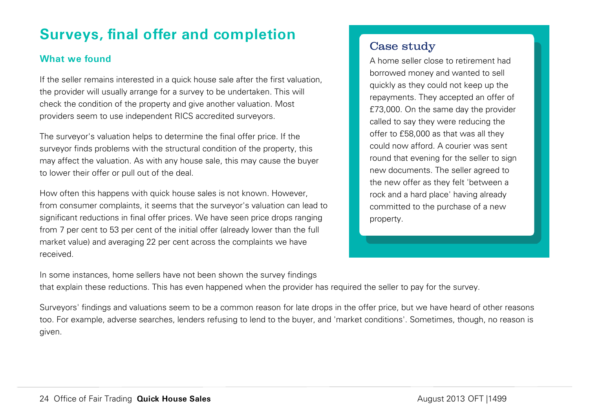# **Surveys, final offer and completion**

## **What we found**

If the seller remains interested in a quick house sale after the first valuation, the provider will usually arrange for a survey to be undertaken. This will check the condition of the property and give another valuation. Most providers seem to use independent RICS accredited surveyors.

The surveyor's valuation helps to determine the final offer price. If the surveyor finds problems with the structural condition of the property, this may affect the valuation. As with any house sale, this may cause the buyer to lower their offer or pull out of the deal.

How often this happens with quick house sales is not known. However, from consumer complaints, it seems that the surveyor's valuation can lead to significant reductions in final offer prices. We have seen price drops ranging from 7 per cent to 53 per cent of the initial offer (already lower than the full market value) and averaging 22 per cent across the complaints we have received.

## Case study

A home seller close to retirement had borrowed money and wanted to sell quickly as they could not keep up the repayments. They accepted an offer of £73,000. On the same day the provider called to say they were reducing the offer to £58,000 as that was all they could now afford. A courier was sent round that evening for the seller to sign new documents. The seller agreed to the new offer as they felt 'between a rock and a hard place' having already committed to the purchase of a new property.

In some instances, home sellers have not been shown the survey findings that explain these reductions. This has even happened when the provider has required the seller to pay for the survey.

Surveyors' findings and valuations seem to be a common reason for late drops in the offer price, but we have heard of other reasons too. For example, adverse searches, lenders refusing to lend to the buyer, and 'market conditions'. Sometimes, though, no reason is given.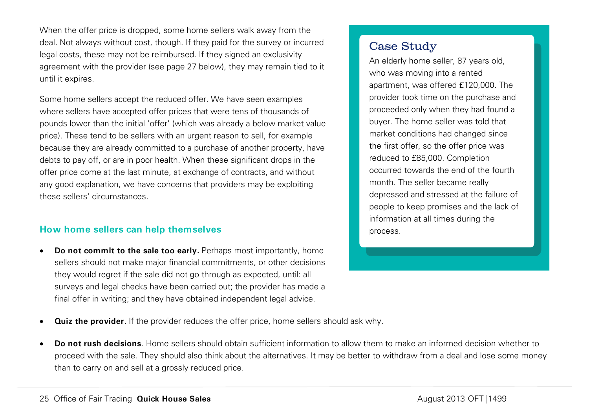When the offer price is dropped, some home sellers walk away from the deal. Not always without cost, though. If they paid for the survey or incurred legal costs, these may not be reimbursed. If they signed an exclusivity agreement with the provider (see page [27](#page-27-0) below), they may remain tied to it until it expires.

Some home sellers accept the reduced offer. We have seen examples where sellers have accepted offer prices that were tens of thousands of pounds lower than the initial 'offer' (which was already a below market value price). These tend to be sellers with an urgent reason to sell, for example because they are already committed to a purchase of another property, have debts to pay off, or are in poor health. When these significant drops in the offer price come at the last minute, at exchange of contracts, and without any good explanation, we have concerns that providers may be exploiting these sellers' circumstances.

## **How home sellers can help themselves**

• **Do not commit to the sale too early.** Perhaps most importantly, home sellers should not make major financial commitments, or other decisions they would regret if the sale did not go through as expected, until: all surveys and legal checks have been carried out; the provider has made a final offer in writing; and they have obtained independent legal advice.

## Case Study

An elderly home seller, 87 years old, who was moving into a rented apartment, was offered £120,000. The provider took time on the purchase and proceeded only when they had found a buyer. The home seller was told that market conditions had changed since the first offer, so the offer price was reduced to £85,000. Completion occurred towards the end of the fourth month. The seller became really depressed and stressed at the failure of people to keep promises and the lack of information at all times during the process.

- **Quiz the provider.** If the provider reduces the offer price, home sellers should ask why.
- **Do not rush decisions**. Home sellers should obtain sufficient information to allow them to make an informed decision whether to proceed with the sale. They should also think about the alternatives. It may be better to withdraw from a deal and lose some money than to carry on and sell at a grossly reduced price.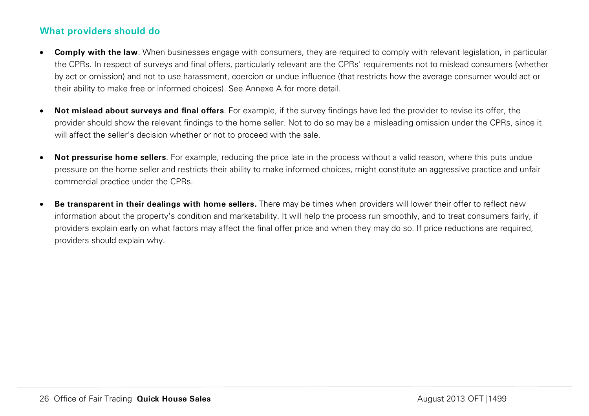## **What providers should do**

- **Comply with the law**. When businesses engage with consumers, they are required to comply with relevant legislation, in particular the CPRs. In respect of surveys and final offers, particularly relevant are the CPRs' requirements not to mislead consumers (whether by act or omission) and not to use harassment, coercion or undue influence (that restricts how the average consumer would act or their ability to make free or informed choices). See Annexe A for more detail.
- **Not mislead about surveys and final offers**. For example, if the survey findings have led the provider to revise its offer, the provider should show the relevant findings to the home seller. Not to do so may be a misleading omission under the CPRs, since it will affect the seller's decision whether or not to proceed with the sale.
- **Not pressurise home sellers**. For example, reducing the price late in the process without a valid reason, where this puts undue pressure on the home seller and restricts their ability to make informed choices, might constitute an aggressive practice and unfair commercial practice under the CPRs.
- **Be transparent in their dealings with home sellers.** There may be times when providers will lower their offer to reflect new information about the property's condition and marketability. It will help the process run smoothly, and to treat consumers fairly, if providers explain early on what factors may affect the final offer price and when they may do so. If price reductions are required, providers should explain why.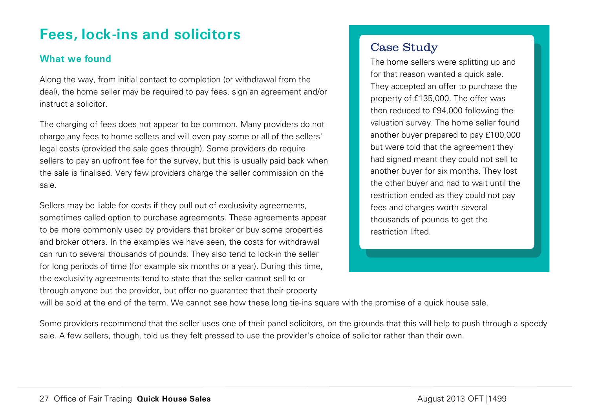## <span id="page-27-0"></span>**Fees, lock-ins and solicitors**

## **What we found**

Along the way, from initial contact to completion (or withdrawal from the deal), the home seller may be required to pay fees, sign an agreement and/or instruct a solicitor.

The charging of fees does not appear to be common. Many providers do not charge any fees to home sellers and will even pay some or all of the sellers' legal costs (provided the sale goes through). Some providers do require sellers to pay an upfront fee for the survey, but this is usually paid back when the sale is finalised. Very few providers charge the seller commission on the sale.

Sellers may be liable for costs if they pull out of exclusivity agreements, sometimes called option to purchase agreements. These agreements appear to be more commonly used by providers that broker or buy some properties and broker others. In the examples we have seen, the costs for withdrawal can run to several thousands of pounds. They also tend to lock-in the seller for long periods of time (for example six months or a year). During this time, the exclusivity agreements tend to state that the seller cannot sell to or through anyone but the provider, but offer no guarantee that their property

## Case Study

The home sellers were splitting up and for that reason wanted a quick sale. They accepted an offer to purchase the property of £135,000. The offer was then reduced to £94,000 following the valuation survey. The home seller found another buyer prepared to pay £100,000 but were told that the agreement they had signed meant they could not sell to another buyer for six months. They lost the other buyer and had to wait until the restriction ended as they could not pay fees and charges worth several thousands of pounds to get the restriction lifted.

will be sold at the end of the term. We cannot see how these long tie-ins square with the promise of a quick house sale.

Some providers recommend that the seller uses one of their panel solicitors, on the grounds that this will help to push through a speedy sale. A few sellers, though, told us they felt pressed to use the provider's choice of solicitor rather than their own.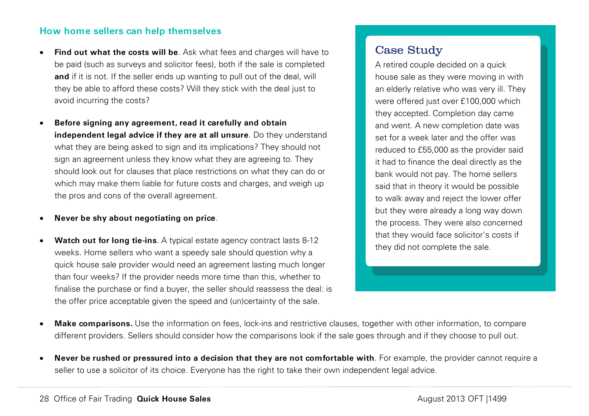#### **How home sellers can help themselves**

- **Find out what the costs will be**. Ask what fees and charges will have to be paid (such as surveys and solicitor fees), both if the sale is completed **and** if it is not. If the seller ends up wanting to pull out of the deal, will they be able to afford these costs? Will they stick with the deal just to avoid incurring the costs?
- **Before signing any agreement, read it carefully and obtain independent legal advice if they are at all unsure**. Do they understand what they are being asked to sign and its implications? They should not sign an agreement unless they know what they are agreeing to. They should look out for clauses that place restrictions on what they can do or which may make them liable for future costs and charges, and weigh up the pros and cons of the overall agreement.

#### • **Never be shy about negotiating on price**.

**Watch out for long tie-ins**. A typical estate agency contract lasts 8-12 weeks. Home sellers who want a speedy sale should question why a quick house sale provider would need an agreement lasting much longer than four weeks? If the provider needs more time than this, whether to finalise the purchase or find a buyer, the seller should reassess the deal: is the offer price acceptable given the speed and (un)certainty of the sale.

## Case Study

A retired couple decided on a quick house sale as they were moving in with an elderly relative who was very ill. They were offered just over £100,000 which they accepted. Completion day came and went. A new completion date was set for a week later and the offer was reduced to £55,000 as the provider said it had to finance the deal directly as the bank would not pay. The home sellers said that in theory it would be possible to walk away and reject the lower offer but they were already a long way down the process. They were also concerned that they would face solicitor's costs if they did not complete the sale.

- **Make comparisons.** Use the information on fees, lock-ins and restrictive clauses, together with other information, to compare different providers. Sellers should consider how the comparisons look if the sale goes through and if they choose to pull out.
- **Never be rushed or pressured into a decision that they are not comfortable with**. For example, the provider cannot require a seller to use a solicitor of its choice. Everyone has the right to take their own independent legal advice.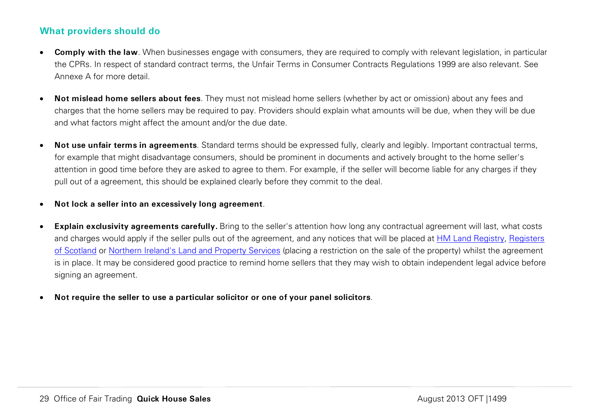## **What providers should do**

- **Comply with the law**. When businesses engage with consumers, they are required to comply with relevant legislation, in particular the CPRs. In respect of standard contract terms, the Unfair Terms in Consumer Contracts Regulations 1999 are also relevant. See Annexe A for more detail.
- **Not mislead home sellers about fees**. They must not mislead home sellers (whether by act or omission) about any fees and charges that the home sellers may be required to pay. Providers should explain what amounts will be due, when they will be due and what factors might affect the amount and/or the due date.
- **Not use unfair terms in agreements**. Standard terms should be expressed fully, clearly and legibly. Important contractual terms, for example that might disadvantage consumers, should be prominent in documents and actively brought to the home seller's attention in good time before they are asked to agree to them. For example, if the seller will become liable for any charges if they pull out of a agreement, this should be explained clearly before they commit to the deal.
- **Not lock a seller into an excessively long agreement**.
- **Explain exclusivity agreements carefully.** Bring to the seller's attention how long any contractual agreement will last, what costs and charges would apply if the seller pulls out of the agreement, and any notices that will be placed at [HM Land Registry,](http://www.landregistry.gov.uk/professional/guides/practice-guide-19) Registers [of Scotland](http://www.ros.gov.uk/) or [Northern Ireland's Land and Property Services](http://www.lpsni.gov.uk/) (placing a restriction on the sale of the property) whilst the agreement is in place. It may be considered good practice to remind home sellers that they may wish to obtain independent legal advice before signing an agreement.
- **Not require the seller to use a particular solicitor or one of your panel solicitors**.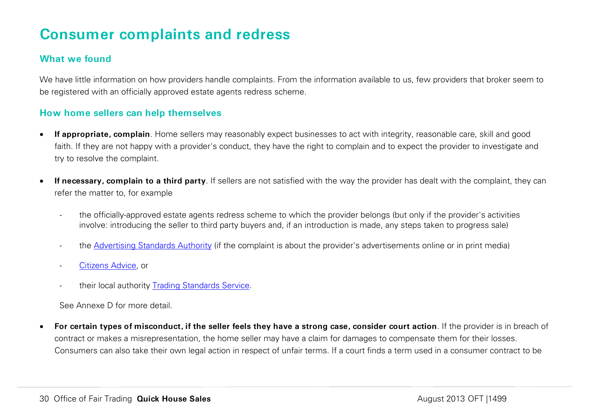## **Consumer complaints and redress**

## **What we found**

We have little information on how providers handle complaints. From the information available to us, few providers that broker seem to be registered with an officially approved estate agents redress scheme.

## **How home sellers can help themselves**

- **If appropriate, complain**. Home sellers may reasonably expect businesses to act with integrity, reasonable care, skill and good faith. If they are not happy with a provider's conduct, they have the right to complain and to expect the provider to investigate and try to resolve the complaint.
- If necessary, complain to a third party. If sellers are not satisfied with the way the provider has dealt with the complaint, they can refer the matter to, for example
	- the officially-approved estate agents redress scheme to which the provider belongs (but only if the provider's activities involve: introducing the seller to third party buyers and, if an introduction is made, any steps taken to progress sale)
	- the [Advertising Standards Authority](http://www.asa.org.uk/Consumers/How-to-complain.aspx) (if the complaint is about the provider's advertisements online or in print media)
	- [Citizens Advice,](http://www.adviceguide.org.uk/consumer_w/consumer_taking_action_e/consumer_making_a_complaint_e.htm) or
	- their local authority [Trading Standards Service.](http://www.tradingstandards.gov.uk/advice/index.cfm)

See Annexe D for more detail.

• **For certain types of misconduct, if the seller feels they have a strong case, consider court action**. If the provider is in breach of contract or makes a misrepresentation, the home seller may have a claim for damages to compensate them for their losses. Consumers can also take their own legal action in respect of unfair terms. If a court finds a term used in a consumer contract to be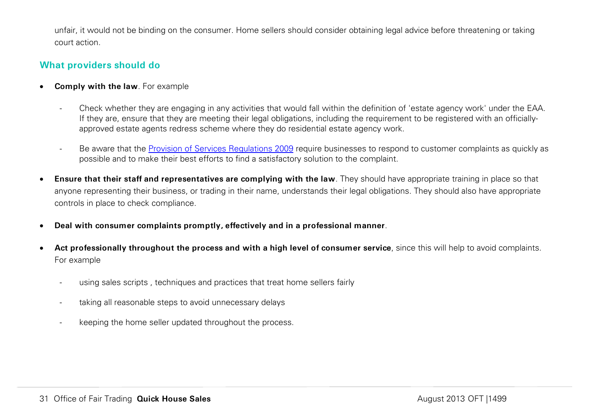unfair, it would not be binding on the consumer. Home sellers should consider obtaining legal advice before threatening or taking court action.

## **What providers should do**

- **Comply with the law**. For example
	- Check whether they are engaging in any activities that would fall within the definition of 'estate agency work' under the EAA. If they are, ensure that they are meeting their legal obligations, including the requirement to be registered with an officiallyapproved estate agents redress scheme where they do residential estate agency work.
	- Be aware that the [Provision of Services Regulations 2009](http://www.legislation.gov.uk/uksi/2009/2999/contents/made) require businesses to respond to customer complaints as quickly as possible and to make their best efforts to find a satisfactory solution to the complaint.
- **Ensure that their staff and representatives are complying with the law**. They should have appropriate training in place so that anyone representing their business, or trading in their name, understands their legal obligations. They should also have appropriate controls in place to check compliance.
- **Deal with consumer complaints promptly, effectively and in a professional manner**.
- **Act professionally throughout the process and with a high level of consumer service**, since this will help to avoid complaints. For example
	- using sales scripts, techniques and practices that treat home sellers fairly
	- taking all reasonable steps to avoid unnecessary delays
	- keeping the home seller updated throughout the process.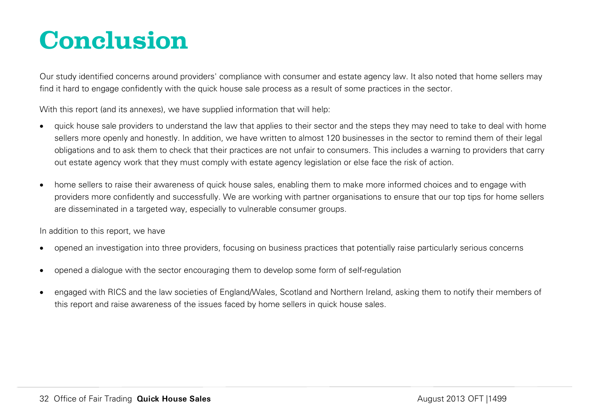# <span id="page-32-0"></span>**Conclusion**

Our study identified concerns around providers' compliance with consumer and estate agency law. It also noted that home sellers may find it hard to engage confidently with the quick house sale process as a result of some practices in the sector.

With this report (and its annexes), we have supplied information that will help:

- quick house sale providers to understand the law that applies to their sector and the steps they may need to take to deal with home sellers more openly and honestly. In addition, we have written to almost 120 businesses in the sector to remind them of their legal obligations and to ask them to check that their practices are not unfair to consumers. This includes a warning to providers that carry out estate agency work that they must comply with estate agency legislation or else face the risk of action.
- home sellers to raise their awareness of quick house sales, enabling them to make more informed choices and to engage with providers more confidently and successfully. We are working with partner organisations to ensure that our top tips for home sellers are disseminated in a targeted way, especially to vulnerable consumer groups.

In addition to this report, we have

- opened an investigation into three providers, focusing on business practices that potentially raise particularly serious concerns
- opened a dialogue with the sector encouraging them to develop some form of self-regulation
- engaged with RICS and the law societies of England/Wales, Scotland and Northern Ireland, asking them to notify their members of this report and raise awareness of the issues faced by home sellers in quick house sales.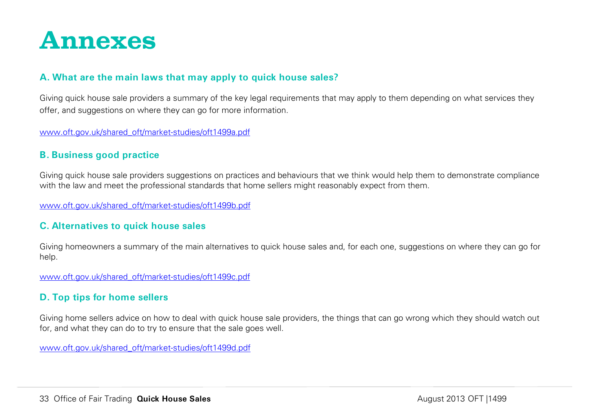<span id="page-33-0"></span>

### **A. What are the main laws that may apply to quick house sales?**

Giving quick house sale providers a summary of the key legal requirements that may apply to them depending on what services they offer, and suggestions on where they can go for more information.

[www.oft.gov.uk/shared\\_oft/market-studies/oft1499a.pdf](http://www.oft.gov.uk/shared_oft/market-studies/oft1499a.pdf)

## **B. Business good practice**

Giving quick house sale providers suggestions on practices and behaviours that we think would help them to demonstrate compliance with the law and meet the professional standards that home sellers might reasonably expect from them.

[www.oft.gov.uk/shared\\_oft/market-studies/oft1499b.pdf](http://www.oft.gov.uk/shared_oft/market-studies/oft1499b.pdf)

## **C. Alternatives to quick house sales**

Giving homeowners a summary of the main alternatives to quick house sales and, for each one, suggestions on where they can go for help.

[www.oft.gov.uk/shared\\_oft/market-studies/oft1499c.pdf](http://www.oft.gov.uk/shared_oft/market-studies/oft1499c.pdf)

## **D. Top tips for home sellers**

Giving home sellers advice on how to deal with quick house sale providers, the things that can go wrong which they should watch out for, and what they can do to try to ensure that the sale goes well.

[www.oft.gov.uk/shared\\_oft/market-studies/oft1499d.pdf](http://www.oft.gov.uk/shared_oft/market-studies/oft1499d.pdf)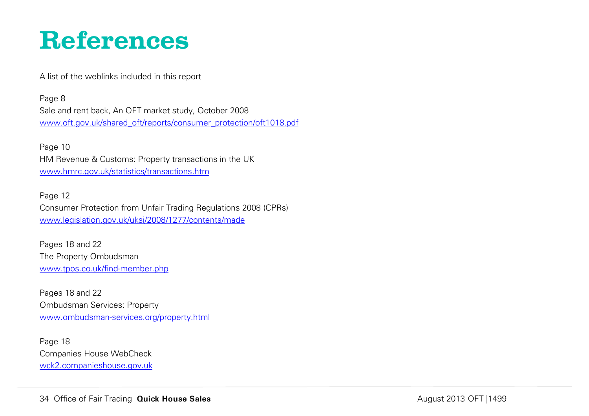# <span id="page-34-0"></span>**References**

A list of the weblinks included in this report

Page 8 Sale and rent back, An OFT market study, October 2008 [www.oft.gov.uk/shared\\_oft/reports/consumer\\_protection/oft1018.pdf](http://www.oft.gov.uk/shared_oft/reports/consumer_protection/oft1018.pdf)

Page 10 HM Revenue & Customs: Property transactions in the UK [www.hmrc.gov.uk/statistics/transactions.htm](http://www.hmrc.gov.uk/statistics/transactions.htm)

Page 12 Consumer Protection from Unfair Trading Regulations 2008 (CPRs) [www.legislation.gov.uk/uksi/2008/1277/contents/made](http://www.legislation.gov.uk/uksi/2008/1277/contents/made)

Pages 18 and 22 The Property Ombudsman [www.tpos.co.uk/find-member.php](http://www.tpos.co.uk/find-member.php)

Pages 18 and 22 Ombudsman Services: Property [www.ombudsman-services.org/property.html](http://www.ombudsman-services.org/property.html)

Page 18 Companies House WebCheck [wck2.companieshouse.gov.uk](http://wck2.companieshouse.gov.uk/)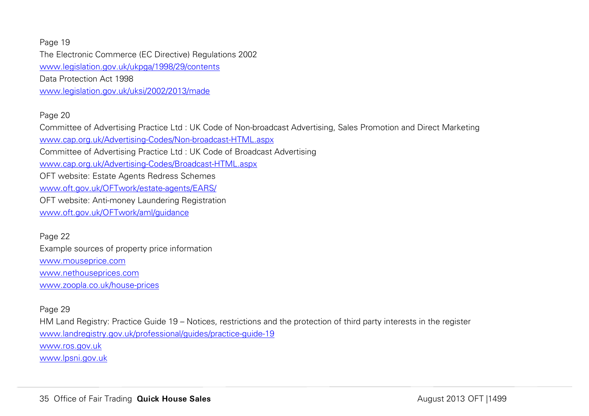Page 19 The Electronic Commerce (EC Directive) Regulations 2002 [www.legislation.gov.uk/ukpga/1998/29/contents](http://www.legislation.gov.uk/ukpga/1998/29/contents) Data Protection Act 1998 [www.legislation.gov.uk/uksi/2002/2013/made](http://www.legislation.gov.uk/uksi/2002/2013/made)

#### Page 20

Committee of Advertising Practice Ltd : UK Code of Non-broadcast Advertising, Sales Promotion and Direct Marketing [www.cap.org.uk/Advertising-Codes/Non-broadcast-HTML.aspx](http://www.cap.org.uk/Advertising-Codes/Non-broadcast-HTML.aspx) Committee of Advertising Practice Ltd : UK Code of Broadcast Advertising [www.cap.org.uk/Advertising-Codes/Broadcast-HTML.aspx](http://www.cap.org.uk/Advertising-Codes/Broadcast-HTML.aspx) OFT website: Estate Agents Redress Schemes [www.oft.gov.uk/OFTwork/estate-agents/EARS/](http://www.oft.gov.uk/OFTwork/estate-agents/EARS/) OFT website: Anti-money Laundering Registration [www.oft.gov.uk/OFTwork/aml/guidance](http://www.oft.gov.uk/OFTwork/aml/guidance)

Page 22 Example sources of property price information [www.mouseprice.com](http://www.mouseprice.com/) [www.nethouseprices.com](http://www.nethouseprices.com/) [www.zoopla.co.uk/house-prices](http://www.zoopla.co.uk/house-prices)

#### Page 29

HM Land Registry: Practice Guide 19 – Notices, restrictions and the protection of third party interests in the register [www.landregistry.gov.uk/professional/guides/practice-guide-19](http://www.landregistry.gov.uk/professional/guides/practice-guide-19) [www.ros.gov.uk](http://www.ros.gov.uk/) [www.lpsni.gov.uk](http://www.lpsni.gov.uk/)